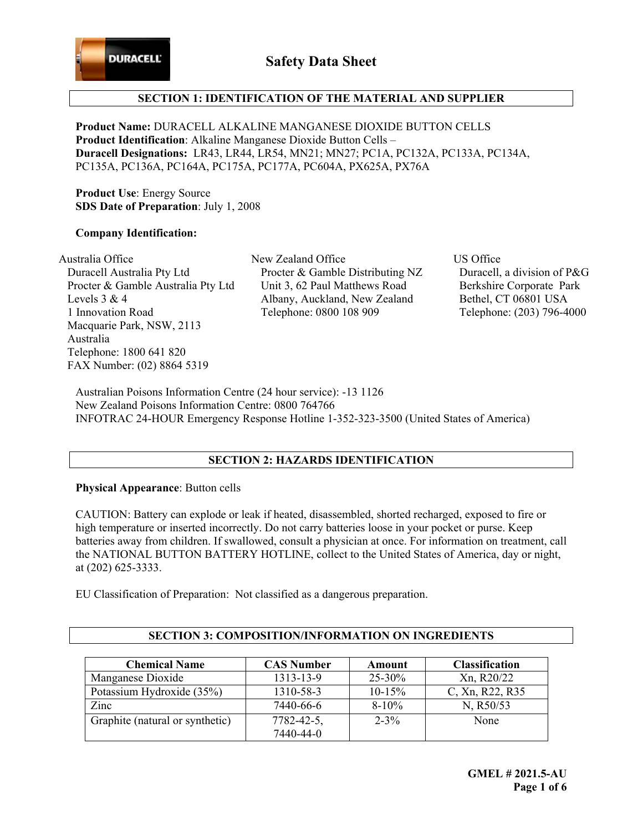

# **SECTION 1: IDENTIFICATION OF THE MATERIAL AND SUPPLIER**

**Product Name:** DURACELL ALKALINE MANGANESE DIOXIDE BUTTON CELLS **Product Identification**: Alkaline Manganese Dioxide Button Cells – **Duracell Designations:** LR43, LR44, LR54, MN21; MN27; PC1A, PC132A, PC133A, PC134A, PC135A, PC136A, PC164A, PC175A, PC177A, PC604A, PX625A, PX76A

**Product Use**: Energy Source **SDS Date of Preparation**: July 1, 2008

#### **Company Identification:**

Australia Office States New Zealand Office States US Office Duracell Australia Pty Ltd Procter & Gamble Australia Pty Ltd Levels 3 & 4 1 Innovation Road Macquarie Park, NSW, 2113 Australia Telephone: 1800 641 820 FAX Number: (02) 8864 5319

 Procter & Gamble Distributing NZ Unit 3, 62 Paul Matthews Road Albany, Auckland, New Zealand Telephone: 0800 108 909

 Duracell, a division of P&G Berkshire Corporate Park Bethel, CT 06801 USA Telephone: (203) 796-4000

Australian Poisons Information Centre (24 hour service): -13 1126 New Zealand Poisons Information Centre: 0800 764766 INFOTRAC 24-HOUR Emergency Response Hotline 1-352-323-3500 (United States of America)

### **SECTION 2: HAZARDS IDENTIFICATION**

### **Physical Appearance**: Button cells

CAUTION: Battery can explode or leak if heated, disassembled, shorted recharged, exposed to fire or high temperature or inserted incorrectly. Do not carry batteries loose in your pocket or purse. Keep batteries away from children. If swallowed, consult a physician at once. For information on treatment, call the NATIONAL BUTTON BATTERY HOTLINE, collect to the United States of America, day or night, at (202) 625-3333.

EU Classification of Preparation: Not classified as a dangerous preparation.

| <b>Chemical Name</b>            | <b>CAS Number</b> | Amount     | <b>Classification</b> |
|---------------------------------|-------------------|------------|-----------------------|
| Manganese Dioxide               | 1313-13-9         | $25 - 30%$ | Xn, R20/22            |
| Potassium Hydroxide (35%)       | 1310-58-3         | $10-15%$   | C, Xn, R22, R35       |
| Zinc                            | 7440-66-6         | $8 - 10\%$ | N, R50/53             |
| Graphite (natural or synthetic) | $7782 - 42 - 5$ , | $2 - 3\%$  | None                  |
|                                 | 7440-44-0         |            |                       |

### **SECTION 3: COMPOSITION/INFORMATION ON INGREDIENTS**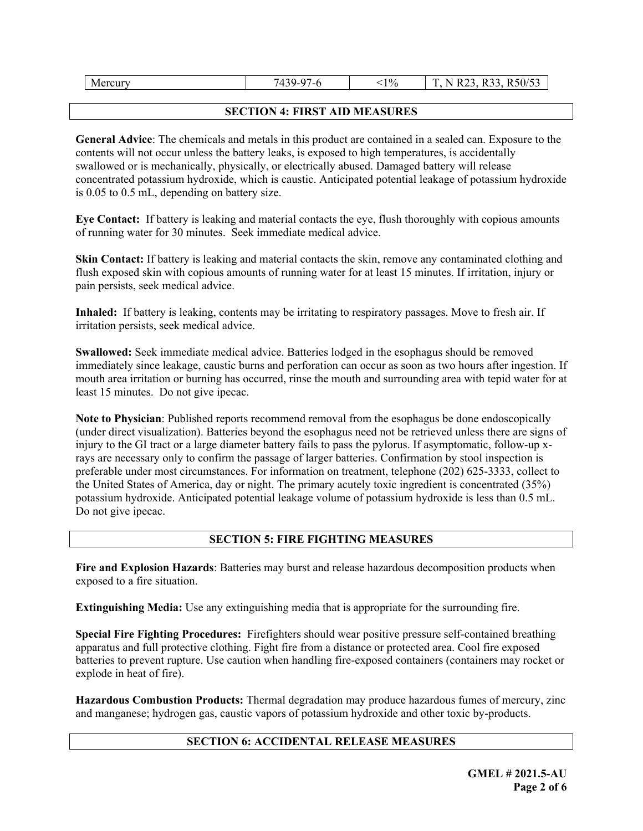| M<br>ercur | $\sim$<br>7100<br>--<br>-<br>. . | 10/0<br>- 1 | $D \zeta_0/\zeta$<br>$\sim$ $\sim$<br>$ -$<br>$\mathbf{a}$<br>Ē<br>D<br>N<br>KJU/JJ<br>. .<br>. .<br>$\sim$<br>$\sim$<br>__ |
|------------|----------------------------------|-------------|-----------------------------------------------------------------------------------------------------------------------------|
|------------|----------------------------------|-------------|-----------------------------------------------------------------------------------------------------------------------------|

## **SECTION 4: FIRST AID MEASURES**

**General Advice**: The chemicals and metals in this product are contained in a sealed can. Exposure to the contents will not occur unless the battery leaks, is exposed to high temperatures, is accidentally swallowed or is mechanically, physically, or electrically abused. Damaged battery will release concentrated potassium hydroxide, which is caustic. Anticipated potential leakage of potassium hydroxide is 0.05 to 0.5 mL, depending on battery size.

**Eye Contact:** If battery is leaking and material contacts the eye, flush thoroughly with copious amounts of running water for 30 minutes. Seek immediate medical advice.

**Skin Contact:** If battery is leaking and material contacts the skin, remove any contaminated clothing and flush exposed skin with copious amounts of running water for at least 15 minutes. If irritation, injury or pain persists, seek medical advice.

**Inhaled:** If battery is leaking, contents may be irritating to respiratory passages. Move to fresh air. If irritation persists, seek medical advice.

**Swallowed:** Seek immediate medical advice. Batteries lodged in the esophagus should be removed immediately since leakage, caustic burns and perforation can occur as soon as two hours after ingestion. If mouth area irritation or burning has occurred, rinse the mouth and surrounding area with tepid water for at least 15 minutes. Do not give ipecac.

**Note to Physician**: Published reports recommend removal from the esophagus be done endoscopically (under direct visualization). Batteries beyond the esophagus need not be retrieved unless there are signs of injury to the GI tract or a large diameter battery fails to pass the pylorus. If asymptomatic, follow-up xrays are necessary only to confirm the passage of larger batteries. Confirmation by stool inspection is preferable under most circumstances. For information on treatment, telephone (202) 625-3333, collect to the United States of America, day or night. The primary acutely toxic ingredient is concentrated (35%) potassium hydroxide. Anticipated potential leakage volume of potassium hydroxide is less than 0.5 mL. Do not give ipecac.

# **SECTION 5: FIRE FIGHTING MEASURES**

**Fire and Explosion Hazards**: Batteries may burst and release hazardous decomposition products when exposed to a fire situation.

**Extinguishing Media:** Use any extinguishing media that is appropriate for the surrounding fire.

**Special Fire Fighting Procedures:** Firefighters should wear positive pressure self-contained breathing apparatus and full protective clothing. Fight fire from a distance or protected area. Cool fire exposed batteries to prevent rupture. Use caution when handling fire-exposed containers (containers may rocket or explode in heat of fire).

**Hazardous Combustion Products:** Thermal degradation may produce hazardous fumes of mercury, zinc and manganese; hydrogen gas, caustic vapors of potassium hydroxide and other toxic by-products.

# **SECTION 6: ACCIDENTAL RELEASE MEASURES**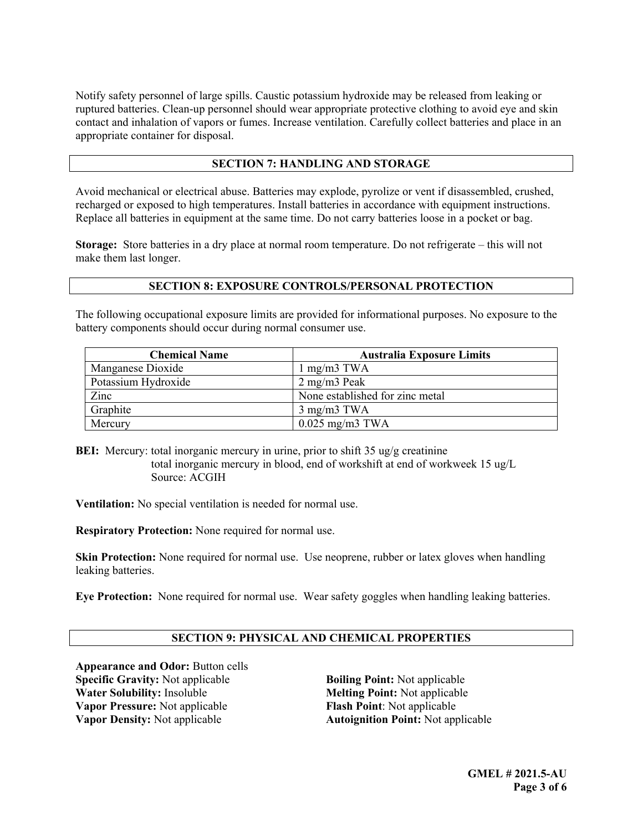Notify safety personnel of large spills. Caustic potassium hydroxide may be released from leaking or ruptured batteries. Clean-up personnel should wear appropriate protective clothing to avoid eye and skin contact and inhalation of vapors or fumes. Increase ventilation. Carefully collect batteries and place in an appropriate container for disposal.

## **SECTION 7: HANDLING AND STORAGE**

Avoid mechanical or electrical abuse. Batteries may explode, pyrolize or vent if disassembled, crushed, recharged or exposed to high temperatures. Install batteries in accordance with equipment instructions. Replace all batteries in equipment at the same time. Do not carry batteries loose in a pocket or bag.

**Storage:** Store batteries in a dry place at normal room temperature. Do not refrigerate – this will not make them last longer.

## **SECTION 8: EXPOSURE CONTROLS/PERSONAL PROTECTION**

The following occupational exposure limits are provided for informational purposes. No exposure to the battery components should occur during normal consumer use.

| <b>Chemical Name</b> | <b>Australia Exposure Limits</b> |
|----------------------|----------------------------------|
| Manganese Dioxide    | $1 \text{ mg/m}$ $3 \text{ TWA}$ |
| Potassium Hydroxide  | $2$ mg/m $3$ Peak                |
| Zinc                 | None established for zinc metal  |
| Graphite             | $3 \text{ mg/m}3 \text{ TWA}$    |
| Mercury              | $0.025$ mg/m3 TWA                |

**BEI:** Mercury: total inorganic mercury in urine, prior to shift 35 ug/g creatinine total inorganic mercury in blood, end of workshift at end of workweek 15 ug/L Source: ACGIH

**Ventilation:** No special ventilation is needed for normal use.

**Respiratory Protection:** None required for normal use.

**Skin Protection:** None required for normal use. Use neoprene, rubber or latex gloves when handling leaking batteries.

**Eye Protection:** None required for normal use. Wear safety goggles when handling leaking batteries.

# **SECTION 9: PHYSICAL AND CHEMICAL PROPERTIES**

**Appearance and Odor:** Button cells **Specific Gravity:** Not applicable **Boiling Point:** Not applicable **Water Solubility:** Insoluble **Melting Point:** Not applicable **Vapor Pressure:** Not applicable **Flash Point**: Not applicable **Vapor Density:** Not applicable **Autoignition Point:** Not applicable

**Melting Point:** Not applicable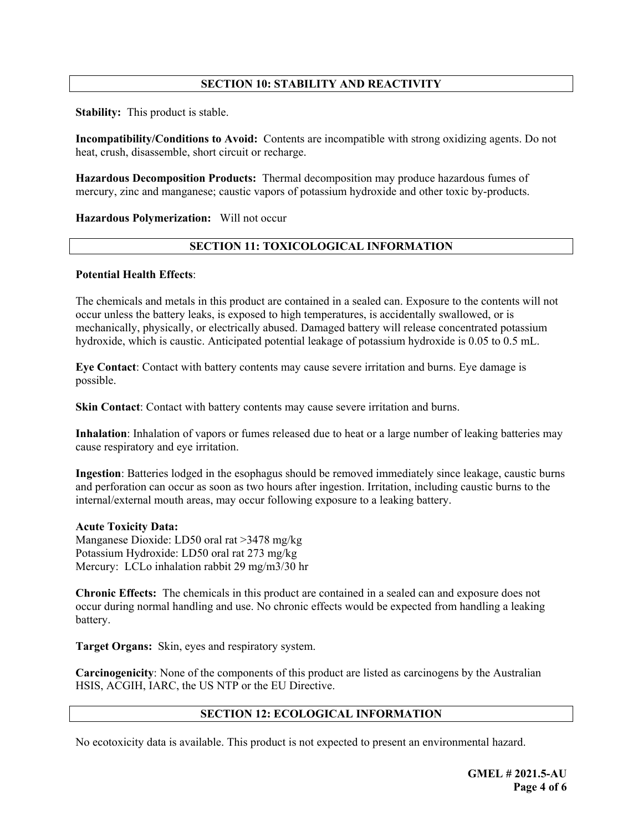# **SECTION 10: STABILITY AND REACTIVITY**

**Stability:** This product is stable.

**Incompatibility/Conditions to Avoid:** Contents are incompatible with strong oxidizing agents. Do not heat, crush, disassemble, short circuit or recharge.

**Hazardous Decomposition Products:** Thermal decomposition may produce hazardous fumes of mercury, zinc and manganese; caustic vapors of potassium hydroxide and other toxic by-products.

**Hazardous Polymerization:** Will not occur

### **SECTION 11: TOXICOLOGICAL INFORMATION**

#### **Potential Health Effects**:

The chemicals and metals in this product are contained in a sealed can. Exposure to the contents will not occur unless the battery leaks, is exposed to high temperatures, is accidentally swallowed, or is mechanically, physically, or electrically abused. Damaged battery will release concentrated potassium hydroxide, which is caustic. Anticipated potential leakage of potassium hydroxide is 0.05 to 0.5 mL.

**Eye Contact**: Contact with battery contents may cause severe irritation and burns. Eye damage is possible.

**Skin Contact:** Contact with battery contents may cause severe irritation and burns.

**Inhalation**: Inhalation of vapors or fumes released due to heat or a large number of leaking batteries may cause respiratory and eye irritation.

**Ingestion**: Batteries lodged in the esophagus should be removed immediately since leakage, caustic burns and perforation can occur as soon as two hours after ingestion. Irritation, including caustic burns to the internal/external mouth areas, may occur following exposure to a leaking battery.

#### **Acute Toxicity Data:**

Manganese Dioxide: LD50 oral rat >3478 mg/kg Potassium Hydroxide: LD50 oral rat 273 mg/kg Mercury: LCLo inhalation rabbit 29 mg/m3/30 hr

**Chronic Effects:** The chemicals in this product are contained in a sealed can and exposure does not occur during normal handling and use. No chronic effects would be expected from handling a leaking battery.

**Target Organs:** Skin, eyes and respiratory system.

**Carcinogenicity**: None of the components of this product are listed as carcinogens by the Australian HSIS, ACGIH, IARC, the US NTP or the EU Directive.

### **SECTION 12: ECOLOGICAL INFORMATION**

No ecotoxicity data is available. This product is not expected to present an environmental hazard.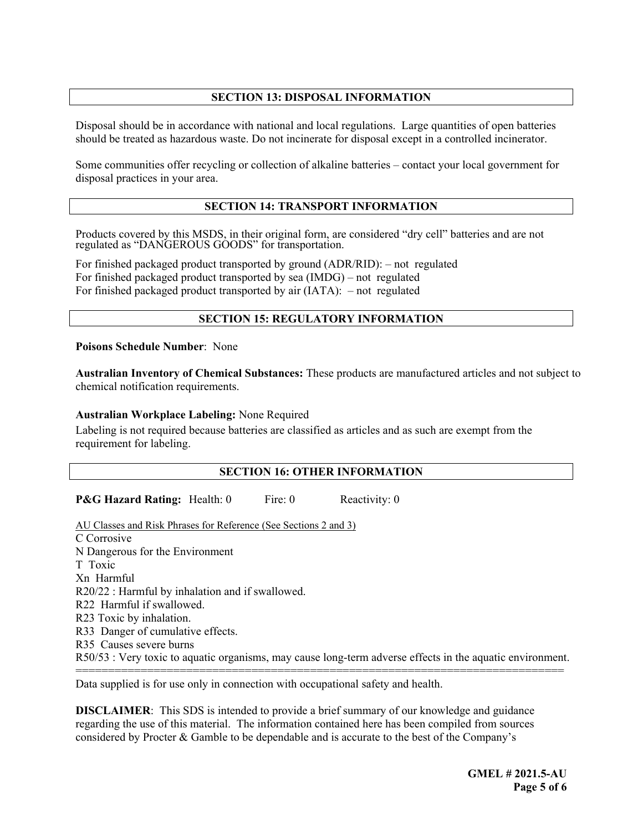# **SECTION 13: DISPOSAL INFORMATION**

Disposal should be in accordance with national and local regulations. Large quantities of open batteries should be treated as hazardous waste. Do not incinerate for disposal except in a controlled incinerator.

Some communities offer recycling or collection of alkaline batteries – contact your local government for disposal practices in your area.

### **SECTION 14: TRANSPORT INFORMATION**

Products covered by this MSDS, in their original form, are considered "dry cell" batteries and are not regulated as "DANGEROUS GOODS" for transportation.

For finished packaged product transported by ground (ADR/RID): – not regulated For finished packaged product transported by sea (IMDG) – not regulated For finished packaged product transported by air (IATA):– not regulated

### **SECTION 15: REGULATORY INFORMATION**

**Poisons Schedule Number**: None

**Australian Inventory of Chemical Substances:** These products are manufactured articles and not subject to chemical notification requirements.

#### **Australian Workplace Labeling:** None Required

Labeling is not required because batteries are classified as articles and as such are exempt from the requirement for labeling.

#### **SECTION 16: OTHER INFORMATION**

**P&G Hazard Rating:** Health: 0 Fire: 0 Reactivity: 0

AU Classes and Risk Phrases for Reference (See Sections 2 and 3) C Corrosive N Dangerous for the Environment T Toxic Xn Harmful R20/22 : Harmful by inhalation and if swallowed. R22 Harmful if swallowed. R23 Toxic by inhalation. R33 Danger of cumulative effects. R35 Causes severe burns R50/53 : Very toxic to aquatic organisms, may cause long-term adverse effects in the aquatic environment. ===========================================================================

Data supplied is for use only in connection with occupational safety and health.

**DISCLAIMER**: This SDS is intended to provide a brief summary of our knowledge and guidance regarding the use of this material. The information contained here has been compiled from sources considered by Procter & Gamble to be dependable and is accurate to the best of the Company's